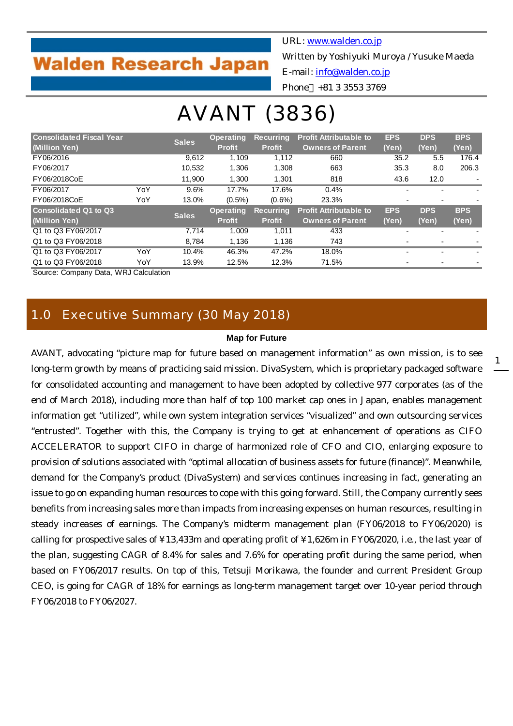# **Walden Research Japan**

URL: [www.walden.co.jp](http://www.walden.co.jp/)

Written by Yoshiyuki Muroya / Yusuke Maeda

E-mail: [info@walden.co.jp](mailto:info@walden.co.jp)

Phone +81 3 3553 3769

# AVANT (3836)

| <b>Consolidated Fiscal Year</b> |     | <b>Sales</b> | <b>Operating</b> | <b>Recurring</b> | <b>Profit Attributable to</b> |                          | <b>DPS</b>               | <b>BPS</b> |
|---------------------------------|-----|--------------|------------------|------------------|-------------------------------|--------------------------|--------------------------|------------|
| (Million Yen)                   |     |              | <b>Profit</b>    | <b>Profit</b>    | <b>Owners of Parent</b>       | (Yen)                    | (Yen)                    | (Yen)      |
| FY06/2016                       |     | 9,612        | 1,109            | 1.112            | 660                           | 35.2                     | 5.5                      | 176.4      |
| FY06/2017                       |     | 10,532       | 1,306            | 1,308            | 663                           | 35.3                     | 8.0                      | 206.3      |
| FY06/2018CoE                    |     | 11.900       | 1.300            | 1.301            | 818                           | 43.6                     | 12.0                     |            |
| FY06/2017                       | YoY | 9.6%         | 17.7%            | 17.6%            | 0.4%                          |                          |                          |            |
| FY06/2018CoE                    | YoY | 13.0%        | $(0.5\%)$        | $(0.6\%)$        | 23.3%                         |                          |                          |            |
| <b>Consolidated Q1 to Q3</b>    |     | <b>Sales</b> | <b>Operating</b> | <b>Recurring</b> | <b>Profit Attributable to</b> | <b>EPS</b>               | <b>DPS</b>               | <b>BPS</b> |
| (Million Yen)                   |     |              | <b>Profit</b>    | <b>Profit</b>    | <b>Owners of Parent</b>       | (Yen)                    | (Yen)                    | (Yen)      |
| Q1 to Q3 FY06/2017              |     | 7.714        | 1.009            | 1,011            | 433                           | $\overline{\phantom{0}}$ | $\overline{\phantom{0}}$ |            |
| Q1 to Q3 FY06/2018              |     | 8.784        | 1.136            | 1.136            | 743                           |                          |                          |            |
| Q1 to Q3 FY06/2017              | YoY | 10.4%        | 46.3%            | 47.2%            | 18.0%                         |                          | $\overline{\phantom{0}}$ |            |
| Q1 to Q3 FY06/2018              | YoY | 13.9%        | 12.5%            | 12.3%            | 71.5%                         | ٠                        | ۰                        |            |

Source: Company Data, WRJ Calculation

# 1.0 Executive Summary (30 May 2018)

#### **Map for Future**

AVANT, advocating "picture map for future based on management information" as own mission, is to see long-term growth by means of practicing said mission. DivaSystem, which is proprietary packaged software for consolidated accounting and management to have been adopted by collective 977 corporates (as of the end of March 2018), including more than half of top 100 market cap ones in Japan, enables management information get "utilized", while own system integration services "visualized" and own outsourcing services "entrusted". Together with this, the Company is trying to get at enhancement of operations as CIFO ACCELERATOR to support CIFO in charge of harmonized role of CFO and CIO, enlarging exposure to provision of solutions associated with "optimal allocation of business assets for future (finance)". Meanwhile, demand for the Company's product (DivaSystem) and services continues increasing in fact, generating an issue to go on expanding human resources to cope with this going forward. Still, the Company currently sees benefits from increasing sales more than impacts from increasing expenses on human resources, resulting in steady increases of earnings. The Company's midterm management plan (FY06/2018 to FY06/2020) is calling for prospective sales of ¥13,433m and operating profit of ¥1,626m in FY06/2020, i.e., the last year of the plan, suggesting CAGR of 8.4% for sales and 7.6% for operating profit during the same period, when based on FY06/2017 results. On top of this, Tetsuji Morikawa, the founder and current President Group CEO, is going for CAGR of 18% for earnings as long-term management target over 10-year period through FY06/2018 to FY06/2027.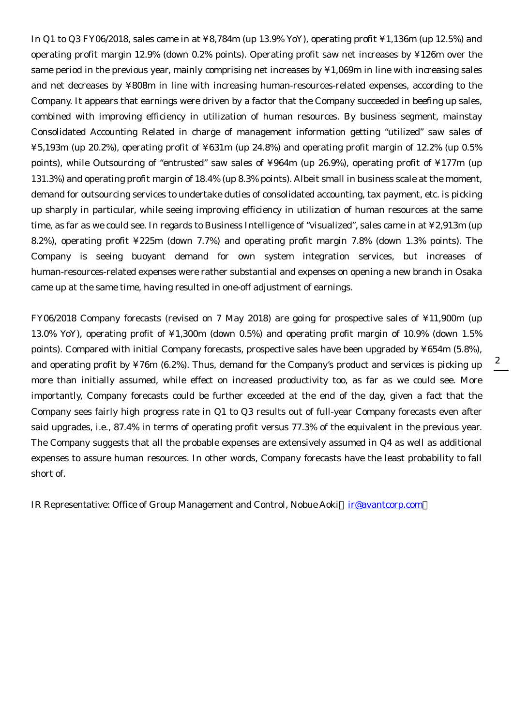In Q1 to Q3 FY06/2018, sales came in at ¥8,784m (up 13.9% YoY), operating profit ¥1,136m (up 12.5%) and operating profit margin 12.9% (down 0.2% points). Operating profit saw net increases by ¥126m over the same period in the previous year, mainly comprising net increases by ¥1,069m in line with increasing sales and net decreases by ¥808m in line with increasing human-resources-related expenses, according to the Company. It appears that earnings were driven by a factor that the Company succeeded in beefing up sales, combined with improving efficiency in utilization of human resources. By business segment, mainstay Consolidated Accounting Related in charge of management information getting "utilized" saw sales of ¥5,193m (up 20.2%), operating profit of ¥631m (up 24.8%) and operating profit margin of 12.2% (up 0.5% points), while Outsourcing of "entrusted" saw sales of ¥964m (up 26.9%), operating profit of ¥177m (up 131.3%) and operating profit margin of 18.4% (up 8.3% points). Albeit small in business scale at the moment, demand for outsourcing services to undertake duties of consolidated accounting, tax payment, etc. is picking up sharply in particular, while seeing improving efficiency in utilization of human resources at the same time, as far as we could see. In regards to Business Intelligence of "visualized", sales came in at ¥2,913m (up 8.2%), operating profit ¥225m (down 7.7%) and operating profit margin 7.8% (down 1.3% points). The Company is seeing buoyant demand for own system integration services, but increases of human-resources-related expenses were rather substantial and expenses on opening a new branch in Osaka came up at the same time, having resulted in one-off adjustment of earnings.

FY06/2018 Company forecasts (revised on 7 May 2018) are going for prospective sales of ¥11,900m (up 13.0% YoY), operating profit of ¥1,300m (down 0.5%) and operating profit margin of 10.9% (down 1.5% points). Compared with initial Company forecasts, prospective sales have been upgraded by ¥654m (5.8%), and operating profit by ¥76m (6.2%). Thus, demand for the Company's product and services is picking up more than initially assumed, while effect on increased productivity too, as far as we could see. More importantly, Company forecasts could be further exceeded at the end of the day, given a fact that the Company sees fairly high progress rate in Q1 to Q3 results out of full-year Company forecasts even after said upgrades, i.e., 87.4% in terms of operating profit versus 77.3% of the equivalent in the previous year. The Company suggests that all the probable expenses are extensively assumed in Q4 as well as additional expenses to assure human resources. In other words, Company forecasts have the least probability to fall short of.

IR Representative: Office of Group Management and Control, Nobue Aoki [ir@avantcorp.com](mailto:ir@avantcorp.com)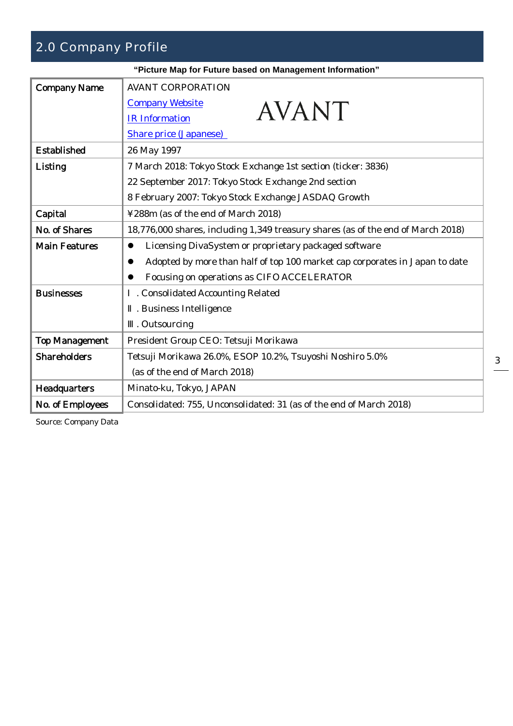# 2.0 Company Profile

|                       | "Picture Map for Future based on Management Information"                         |
|-----------------------|----------------------------------------------------------------------------------|
| <b>Company Name</b>   | <b>AVANT CORPORATION</b>                                                         |
|                       | <b>Company Website</b><br><b>AVANT</b>                                           |
|                       | <b>IR</b> Information                                                            |
|                       | <b>Share price (Japanese)</b>                                                    |
| Established           | 26 May 1997                                                                      |
| Listing               | 7 March 2018: Tokyo Stock Exchange 1st section (ticker: 3836)                    |
|                       | 22 September 2017: Tokyo Stock Exchange 2nd section                              |
|                       | 8 February 2007: Tokyo Stock Exchange JASDAQ Growth                              |
| Capital               | ¥288m (as of the end of March 2018)                                              |
| No. of Shares         | 18,776,000 shares, including 1,349 treasury shares (as of the end of March 2018) |
| <b>Main Features</b>  | Licensing DivaSystem or proprietary packaged software<br>$\bullet$               |
|                       | Adopted by more than half of top 100 market cap corporates in Japan to date      |
|                       | Focusing on operations as CIFO ACCELERATOR                                       |
| <b>Businesses</b>     | . Consolidated Accounting Related                                                |
|                       | . Business Intelligence                                                          |
|                       | . Outsourcing                                                                    |
| <b>Top Management</b> | President Group CEO: Tetsuji Morikawa                                            |
| <b>Shareholders</b>   | Tetsuji Morikawa 26.0%, ESOP 10.2%, Tsuyoshi Noshiro 5.0%                        |
|                       | (as of the end of March 2018)                                                    |
| <b>Headquarters</b>   | Minato-ku, Tokyo, JAPAN                                                          |
| No. of Employees      | Consolidated: 755, Unconsolidated: 31 (as of the end of March 2018)              |

Source: Company Data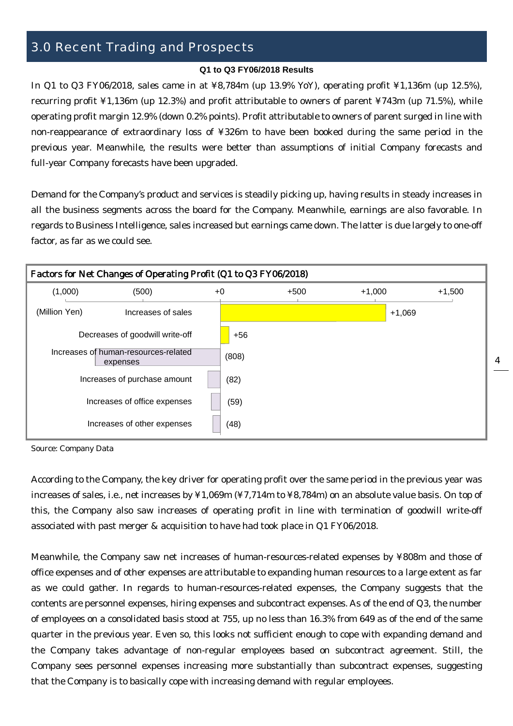# 3.0 Recent Trading and Prospects

#### **Q1 to Q3 FY06/2018 Results**

In Q1 to Q3 FY06/2018, sales came in at ¥8,784m (up 13.9% YoY), operating profit ¥1,136m (up 12.5%), recurring profit ¥1,136m (up 12.3%) and profit attributable to owners of parent ¥743m (up 71.5%), while operating profit margin 12.9% (down 0.2% points). Profit attributable to owners of parent surged in line with non-reappearance of extraordinary loss of ¥326m to have been booked during the same period in the previous year. Meanwhile, the results were better than assumptions of initial Company forecasts and full-year Company forecasts have been upgraded.

Demand for the Company's product and services is steadily picking up, having results in steady increases in all the business segments across the board for the Company. Meanwhile, earnings are also favorable. In regards to Business Intelligence, sales increased but earnings came down. The latter is due largely to one-off factor, as far as we could see.



4

Source: Company Data

According to the Company, the key driver for operating profit over the same period in the previous year was increases of sales, i.e., net increases by ¥1,069m (¥7,714m to ¥8,784m) on an absolute value basis. On top of this, the Company also saw increases of operating profit in line with termination of goodwill write-off associated with past merger & acquisition to have had took place in Q1 FY06/2018.

Meanwhile, the Company saw net increases of human-resources-related expenses by ¥808m and those of office expenses and of other expenses are attributable to expanding human resources to a large extent as far as we could gather. In regards to human-resources-related expenses, the Company suggests that the contents are personnel expenses, hiring expenses and subcontract expenses. As of the end of Q3, the number of employees on a consolidated basis stood at 755, up no less than 16.3% from 649 as of the end of the same quarter in the previous year. Even so, this looks not sufficient enough to cope with expanding demand and the Company takes advantage of non-regular employees based on subcontract agreement. Still, the Company sees personnel expenses increasing more substantially than subcontract expenses, suggesting that the Company is to basically cope with increasing demand with regular employees.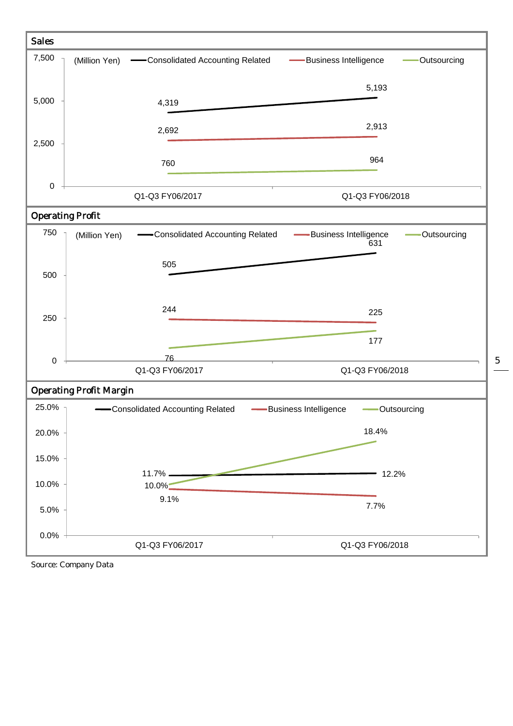

Source: Company Data

5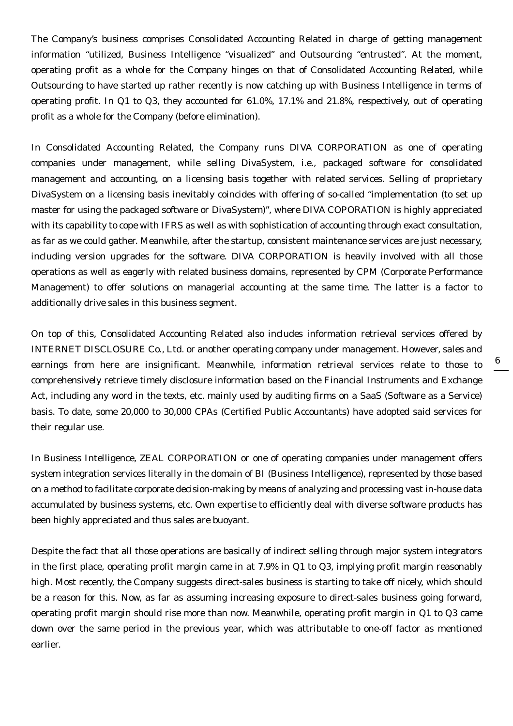The Company's business comprises Consolidated Accounting Related in charge of getting management information "utilized, Business Intelligence "visualized" and Outsourcing "entrusted". At the moment, operating profit as a whole for the Company hinges on that of Consolidated Accounting Related, while Outsourcing to have started up rather recently is now catching up with Business Intelligence in terms of operating profit. In Q1 to Q3, they accounted for 61.0%, 17.1% and 21.8%, respectively, out of operating profit as a whole for the Company (before elimination).

In Consolidated Accounting Related, the Company runs DIVA CORPORATION as one of operating companies under management, while selling DivaSystem, i.e., packaged software for consolidated management and accounting, on a licensing basis together with related services. Selling of proprietary DivaSystem on a licensing basis inevitably coincides with offering of so-called "implementation (to set up master for using the packaged software or DivaSystem)", where DIVA COPORATION is highly appreciated with its capability to cope with IFRS as well as with sophistication of accounting through exact consultation, as far as we could gather. Meanwhile, after the startup, consistent maintenance services are just necessary, including version upgrades for the software. DIVA CORPORATION is heavily involved with all those operations as well as eagerly with related business domains, represented by CPM (Corporate Performance Management) to offer solutions on managerial accounting at the same time. The latter is a factor to additionally drive sales in this business segment.

On top of this, Consolidated Accounting Related also includes information retrieval services offered by INTERNET DISCLOSURE Co., Ltd. or another operating company under management. However, sales and earnings from here are insignificant. Meanwhile, information retrieval services relate to those to comprehensively retrieve timely disclosure information based on the Financial Instruments and Exchange Act, including any word in the texts, etc. mainly used by auditing firms on a SaaS (Software as a Service) basis. To date, some 20,000 to 30,000 CPAs (Certified Public Accountants) have adopted said services for their regular use.

In Business Intelligence, ZEAL CORPORATION or one of operating companies under management offers system integration services literally in the domain of BI (Business Intelligence), represented by those based on a method to facilitate corporate decision-making by means of analyzing and processing vast in-house data accumulated by business systems, etc. Own expertise to efficiently deal with diverse software products has been highly appreciated and thus sales are buoyant.

Despite the fact that all those operations are basically of indirect selling through major system integrators in the first place, operating profit margin came in at 7.9% in Q1 to Q3, implying profit margin reasonably high. Most recently, the Company suggests direct-sales business is starting to take off nicely, which should be a reason for this. Now, as far as assuming increasing exposure to direct-sales business going forward, operating profit margin should rise more than now. Meanwhile, operating profit margin in Q1 to Q3 came down over the same period in the previous year, which was attributable to one-off factor as mentioned earlier.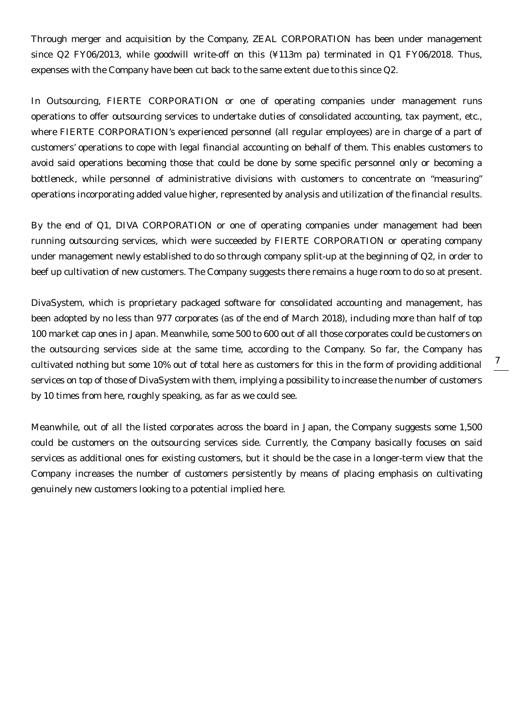Through merger and acquisition by the Company, ZEAL CORPORATION has been under management since Q2 FY06/2013, while goodwill write-off on this (¥113m pa) terminated in Q1 FY06/2018. Thus, expenses with the Company have been cut back to the same extent due to this since Q2.

In Outsourcing, FIERTE CORPORATION or one of operating companies under management runs operations to offer outsourcing services to undertake duties of consolidated accounting, tax payment, etc., where FIERTE CORPORATION's experienced personnel (all regular employees) are in charge of a part of customers' operations to cope with legal financial accounting on behalf of them. This enables customers to avoid said operations becoming those that could be done by some specific personnel only or becoming a bottleneck, while personnel of administrative divisions with customers to concentrate on "measuring" operations incorporating added value higher, represented by analysis and utilization of the financial results.

By the end of Q1, DIVA CORPORATION or one of operating companies under management had been running outsourcing services, which were succeeded by FIERTE CORPORATION or operating company under management newly established to do so through company split-up at the beginning of Q2, in order to beef up cultivation of new customers. The Company suggests there remains a huge room to do so at present.

DivaSystem, which is proprietary packaged software for consolidated accounting and management, has been adopted by no less than 977 corporates (as of the end of March 2018), including more than half of top 100 market cap ones in Japan. Meanwhile, some 500 to 600 out of all those corporates could be customers on the outsourcing services side at the same time, according to the Company. So far, the Company has cultivated nothing but some 10% out of total here as customers for this in the form of providing additional services on top of those of DivaSystem with them, implying a possibility to increase the number of customers by 10 times from here, roughly speaking, as far as we could see.

Meanwhile, out of all the listed corporates across the board in Japan, the Company suggests some 1,500 could be customers on the outsourcing services side. Currently, the Company basically focuses on said services as additional ones for existing customers, but it should be the case in a longer-term view that the Company increases the number of customers persistently by means of placing emphasis on cultivating genuinely new customers looking to a potential implied here.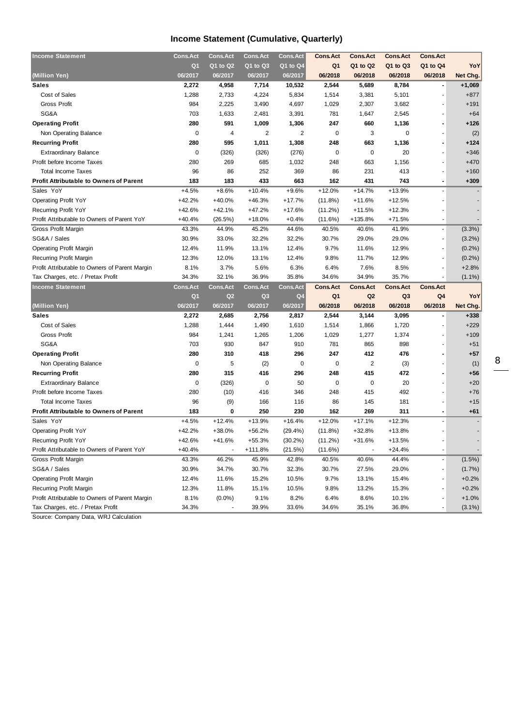# **Income Statement (Cumulative, Quarterly)**

| <b>Income Statement</b>                        | <b>Cons.Act</b> | <b>Cons.Act</b> | <b>Cons.Act</b> | <b>Cons.Act</b> | <b>Cons.Act</b> | <b>Cons.Act</b> | <b>Cons.Act</b> | <b>Cons.Act</b>          |           |
|------------------------------------------------|-----------------|-----------------|-----------------|-----------------|-----------------|-----------------|-----------------|--------------------------|-----------|
|                                                | Q <sub>1</sub>  | Q1 to Q2        | Q1 to Q3        | Q1 to Q4        | Q <sub>1</sub>  | Q1 to Q2        | Q1 to Q3        | Q1 to Q4                 | YoY       |
| (Million Yen)                                  | 06/2017         | 06/2017         | 06/2017         | 06/2017         | 06/2018         | 06/2018         | 06/2018         | 06/2018                  | Net Chg.  |
| <b>Sales</b>                                   | 2,272           | 4,958           | 7,714           | 10,532          | 2,544           | 5,689           | 8,784           | $\overline{\phantom{a}}$ | $+1,069$  |
| Cost of Sales                                  | 1,288           | 2,733           | 4,224           | 5,834           | 1,514           | 3,381           | 5,101           |                          | $+877$    |
| <b>Gross Profit</b>                            | 984             | 2,225           | 3,490           | 4,697           | 1,029           | 2,307           | 3,682           |                          | $+191$    |
| SG&A                                           | 703             | 1,633           | 2,481           | 3,391           | 781             | 1,647           | 2,545           |                          | $+64$     |
| <b>Operating Profit</b>                        | 280             | 591             | 1,009           | 1,306           | 247             | 660             | 1,136           | ٠                        | $+126$    |
| Non Operating Balance                          | 0               | 4               | $\overline{2}$  | $\overline{2}$  | $\mathbf 0$     | 3               | 0               |                          | (2)       |
| <b>Recurring Profit</b>                        | 280             | 595             | 1,011           | 1,308           | 248             | 663             | 1,136           | $\blacksquare$           | $+124$    |
| <b>Extraordinary Balance</b>                   | 0               | (326)           | (326)           | (276)           | $\mathbf 0$     | 0               | 20              |                          | $+346$    |
| Profit before Income Taxes                     | 280             | 269             | 685             | 1,032           | 248             | 663             | 1,156           |                          | $+470$    |
| <b>Total Income Taxes</b>                      | 96              | 86              | 252             | 369             | 86              | 231             | 413             |                          | $+160$    |
| <b>Profit Attributable to Owners of Parent</b> | 183             | 183             | 433             | 663             | 162             | 431             | 743             | $\blacksquare$           | $+309$    |
| Sales YoY                                      | $+4.5%$         | $+8.6%$         | $+10.4%$        | $+9.6%$         | $+12.0%$        | $+14.7%$        | $+13.9%$        | ä,                       |           |
| <b>Operating Profit YoY</b>                    | $+42.2%$        | +40.0%          | $+46.3%$        | $+17.7%$        | (11.8%)         | $+11.6%$        | $+12.5%$        |                          |           |
| Recurring Profit YoY                           | +42.6%          | $+42.1%$        | $+47.2%$        | $+17.6%$        | (11.2%)         | $+11.5%$        | $+12.3%$        |                          |           |
| Profit Attributable to Owners of Parent YoY    | $+40.4%$        | (26.5%)         | $+18.0%$        | $+0.4%$         | (11.6%)         | +135.8%         | $+71.5%$        | $\overline{\phantom{a}}$ |           |
| Gross Profit Margin                            | 43.3%           | 44.9%           | 45.2%           | 44.6%           | 40.5%           | 40.6%           | 41.9%           | $\overline{\phantom{a}}$ | $(3.3\%)$ |
| SG&A / Sales                                   | 30.9%           | 33.0%           | 32.2%           | 32.2%           | 30.7%           | 29.0%           | 29.0%           |                          | $(3.2\%)$ |
| <b>Operating Profit Margin</b>                 | 12.4%           | 11.9%           | 13.1%           | 12.4%           | 9.7%            | 11.6%           | 12.9%           | ٠                        | (0.2%)    |
| Recurring Profit Margin                        | 12.3%           | 12.0%           | 13.1%           | 12.4%           | 9.8%            | 11.7%           | 12.9%           | ä,                       | (0.2%)    |
| Profit Attributable to Owners of Parent Margin | 8.1%            | 3.7%            | 5.6%            | 6.3%            | 6.4%            | 7.6%            | 8.5%            | $\overline{a}$           | $+2.8%$   |
| Tax Charges, etc. / Pretax Profit              | 34.3%           | 32.1%           | 36.9%           | 35.8%           | 34.6%           | 34.9%           | 35.7%           | $\overline{\phantom{a}}$ | $(1.1\%)$ |
|                                                |                 |                 |                 |                 |                 |                 |                 |                          |           |
| <b>Income Statement</b>                        | <b>Cons.Act</b> | <b>Cons.Act</b> | <b>Cons.Act</b> | <b>Cons.Act</b> | <b>Cons.Act</b> | <b>Cons.Act</b> | <b>Cons.Act</b> | <b>Cons.Act</b>          |           |
|                                                | Q <sub>1</sub>  | Q <sub>2</sub>  | Q <sub>3</sub>  | Q <sub>4</sub>  | Q1              | Q <sub>2</sub>  | Q <sub>3</sub>  | Q4                       | YoY       |
| (Million Yen)                                  | 06/2017         | 06/2017         | 06/2017         | 06/2017         | 06/2018         | 06/2018         | 06/2018         | 06/2018                  | Net Chg.  |
| <b>Sales</b>                                   | 2,272           | 2,685           | 2,756           | 2,817           | 2,544           | 3,144           | 3,095           |                          | $+338$    |
| Cost of Sales                                  | 1,288           | 1,444           | 1,490           | 1,610           | 1,514           | 1,866           | 1,720           |                          | $+229$    |
| <b>Gross Profit</b>                            | 984             | 1,241           | 1,265           | 1,206           | 1,029           | 1,277           | 1,374           |                          | $+109$    |
| SG&A                                           | 703             | 930             | 847             | 910             | 781             | 865             | 898             | ä,                       | $+51$     |
| <b>Operating Profit</b>                        | 280             | 310             | 418             | 296             | 247             | 412             | 476             |                          | $+57$     |
| Non Operating Balance                          | 0               | 5               | (2)             | 0               | 0               | $\overline{2}$  | (3)             |                          | (1)       |
| <b>Recurring Profit</b>                        | 280             | 315             | 416             | 296             | 248             | 415             | 472             |                          | $+56$     |
| <b>Extraordinary Balance</b>                   | 0               | (326)           | 0               | 50              | 0               | 0               | 20              |                          | $+20$     |
| Profit before Income Taxes                     | 280             | (10)            | 416             | 346             | 248             | 415             | 492             |                          | $+76$     |
| <b>Total Income Taxes</b>                      | 96              | (9)             | 166             | 116             | 86              | 145             | 181             |                          | $+15$     |
| <b>Profit Attributable to Owners of Parent</b> | 183             | 0               | 250             | 230             | 162             | 269             | 311             | $\blacksquare$           | $+61$     |
| Sales YoY                                      | $+4.5%$         | $+12.4%$        | $+13.9%$        | $+16.4%$        | $+12.0%$        | $+17.1%$        | $+12.3%$        | ä,                       |           |
| <b>Operating Profit YoY</b>                    | $+42.2%$        | +38.0%          | $+56.2%$        | $(29.4\%)$      | (11.8%)         | +32.8%          | $+13.8%$        |                          |           |
| Recurring Profit YoY                           | $+42.6%$        | $+41.6%$        | $+55.3%$        | $(30.2\%)$      | (11.2%)         | $+31.6%$        | $+13.5%$        |                          |           |
| Profit Attributable to Owners of Parent YoY    | $+40.4%$        |                 | +111.8%         | (21.5%)         | (11.6%)         |                 | $+24.4%$        | ٠                        |           |
| Gross Profit Margin                            | 43.3%           | 46.2%           | 45.9%           | 42.8%           | 40.5%           | 40.6%           | 44.4%           | $\blacksquare$           | (1.5%)    |
| SG&A / Sales                                   | 30.9%           | 34.7%           | 30.7%           | 32.3%           | 30.7%           | 27.5%           | 29.0%           |                          | (1.7%)    |
| <b>Operating Profit Margin</b>                 | 12.4%           | 11.6%           | 15.2%           | 10.5%           | 9.7%            | 13.1%           | 15.4%           | ÷                        | $+0.2%$   |
| Recurring Profit Margin                        | 12.3%           | 11.8%           | 15.1%           | 10.5%           | 9.8%            | 13.2%           | 15.3%           | ÷                        | $+0.2%$   |
| Profit Attributable to Owners of Parent Margin | 8.1%            | $(0.0\%)$       | 9.1%            | 8.2%            | 6.4%            | 8.6%            | 10.1%           |                          | $+1.0%$   |

Source: Company Data, WRJ Calculation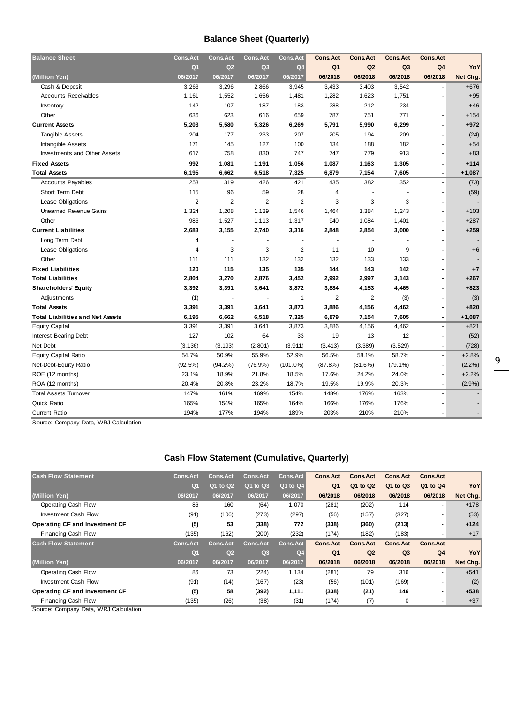# **Balance Sheet (Quarterly)**

| <b>Balance Sheet</b>                    | <b>Cons.Act</b> | <b>Cons.Act</b> | Cons. Act      | <b>Cons.Act</b> | <b>Cons.Act</b> | <b>Cons.Act</b> | <b>Cons.Act</b> | <b>Cons.Act</b>      |          |
|-----------------------------------------|-----------------|-----------------|----------------|-----------------|-----------------|-----------------|-----------------|----------------------|----------|
|                                         | Q <sub>1</sub>  | Q <sub>2</sub>  | Q <sub>3</sub> | Q <sub>4</sub>  | Q <sub>1</sub>  | Q <sub>2</sub>  | Q <sub>3</sub>  | Q4                   | YoY      |
| (Million Yen)                           | 06/2017         | 06/2017         | 06/2017        | 06/2017         | 06/2018         | 06/2018         | 06/2018         | 06/2018              | Net Chg. |
| Cash & Deposit                          | 3.263           | 3,296           | 2,866          | 3,945           | 3,433           | 3,403           | 3,542           |                      | $+676$   |
| <b>Accounts Receivables</b>             | 1,161           | 1,552           | 1,656          | 1,481           | 1,282           | 1,623           | 1,751           | $\ddot{\phantom{1}}$ | $+95$    |
| Inventory                               | 142             | 107             | 187            | 183             | 288             | 212             | 234             |                      | $+46$    |
| Other                                   | 636             | 623             | 616            | 659             | 787             | 751             | 771             | ä,                   | $+154$   |
| <b>Current Assets</b>                   | 5,203           | 5,580           | 5,326          | 6,269           | 5,791           | 5,990           | 6,299           | $\blacksquare$       | $+972$   |
| Tangible Assets                         | 204             | 177             | 233            | 207             | 205             | 194             | 209             |                      | (24)     |
| Intangible Assets                       | 171             | 145             | 127            | 100             | 134             | 188             | 182             |                      | $+54$    |
| <b>Investments and Other Assets</b>     | 617             | 758             | 830            | 747             | 747             | 779             | 913             |                      | $+83$    |
| <b>Fixed Assets</b>                     | 992             | 1,081           | 1,191          | 1,056           | 1,087           | 1,163           | 1,305           |                      | $+114$   |
| <b>Total Assets</b>                     | 6,195           | 6,662           | 6,518          | 7,325           | 6,879           | 7,154           | 7,605           | $\overline{a}$       | $+1,087$ |
| <b>Accounts Payables</b>                | 253             | 319             | 426            | 421             | 435             | 382             | 352             | ÷.                   | (73)     |
| Short Term Debt                         | 115             | 96              | 59             | 28              | 4               |                 |                 |                      | (59)     |
| Lease Obligations                       | $\overline{2}$  | 2               | $\overline{2}$ | $\overline{2}$  | 3               | 3               | 3               |                      |          |
| <b>Unearned Revenue Gains</b>           | 1,324           | 1,208           | 1,139          | 1,546           | 1,464           | 1,384           | 1,243           |                      | $+103$   |
| Other                                   | 986             | 1,527           | 1,113          | 1,317           | 940             | 1,084           | 1,401           | ÷                    | $+287$   |
| <b>Current Liabilities</b>              | 2,683           | 3,155           | 2,740          | 3,316           | 2,848           | 2,854           | 3,000           |                      | $+259$   |
| Long Term Debt                          | $\overline{4}$  |                 |                |                 |                 |                 |                 |                      |          |
| Lease Obligations                       | $\overline{4}$  | 3               | 3              | $\overline{2}$  | 11              | 10              | 9               |                      | $+6$     |
| Other                                   | 111             | 111             | 132            | 132             | 132             | 133             | 133             |                      |          |
| <b>Fixed Liabilities</b>                | 120             | 115             | 135            | 135             | 144             | 143             | 142             |                      | $+7$     |
| <b>Total Liabilities</b>                | 2,804           | 3,270           | 2,876          | 3,452           | 2,992           | 2,997           | 3,143           | Ĭ.                   | $+267$   |
| <b>Shareholders' Equity</b>             | 3,392           | 3,391           | 3,641          | 3,872           | 3,884           | 4,153           | 4,465           | Ĭ.                   | $+823$   |
| Adjustments                             | (1)             |                 |                | 1               | $\overline{2}$  | $\overline{2}$  | (3)             |                      | (3)      |
| <b>Total Assets</b>                     | 3,391           | 3,391           | 3,641          | 3,873           | 3,886           | 4,156           | 4,462           | Ĭ.                   | $+820$   |
| <b>Total Liabilities and Net Assets</b> | 6,195           | 6,662           | 6,518          | 7,325           | 6,879           | 7,154           | 7,605           | $\blacksquare$       | $+1,087$ |
| <b>Equity Capital</b>                   | 3,391           | 3,391           | 3,641          | 3,873           | 3,886           | 4,156           | 4,462           | ä,                   | $+821$   |
| Interest Bearing Debt                   | 127             | 102             | 64             | 33              | 19              | 13              | 12              | $\sim$               | (52)     |
| Net Debt                                | (3, 136)        | (3, 193)        | (2, 801)       | (3, 911)        | (3, 413)        | (3, 389)        | (3, 529)        | $\blacksquare$       | (728)    |
| <b>Equity Capital Ratio</b>             | 54.7%           | 50.9%           | 55.9%          | 52.9%           | 56.5%           | 58.1%           | 58.7%           | ÷,                   | $+2.8%$  |
| Net-Debt-Equity Ratio                   | (92.5%)         | $(94.2\%)$      | $(76.9\%)$     | $(101.0\%)$     | (87.8%)         | (81.6%)         | $(79.1\%)$      | ÷,                   | (2.2%)   |
| ROE (12 months)                         | 23.1%           | 18.9%           | 21.8%          | 18.5%           | 17.6%           | 24.2%           | 24.0%           | $\ddot{\phantom{1}}$ | $+2.2%$  |
| ROA (12 months)                         | 20.4%           | 20.8%           | 23.2%          | 18.7%           | 19.5%           | 19.9%           | 20.3%           | $\blacksquare$       | (2.9%)   |
| <b>Total Assets Turnover</b>            | 147%            | 161%            | 169%           | 154%            | 148%            | 176%            | 163%            |                      |          |
| <b>Quick Ratio</b>                      | 165%            | 154%            | 165%           | 164%            | 166%            | 176%            | 176%            |                      |          |
| <b>Current Ratio</b>                    | 194%            | 177%            | 194%           | 189%            | 203%            | 210%            | 210%            |                      |          |
|                                         |                 |                 |                |                 |                 |                 |                 |                      |          |

Source: Company Data, WRJ Calculation

## **Cash Flow Statement (Cumulative, Quarterly)**

| <b>Cash Flow Statement</b>            | <b>Cons.Act</b> | <b>Cons, Act</b> | <b>Cons.Act</b> | <b>Cons.Act</b> | <b>Cons.Act</b> | <b>Cons Act</b> | <b>Cons.Act</b> | <b>Cons.Act</b> |          |
|---------------------------------------|-----------------|------------------|-----------------|-----------------|-----------------|-----------------|-----------------|-----------------|----------|
|                                       | Q <sub>1</sub>  | Q1 to Q2         | Q1 to Q3        | Q1 to Q4        | Q <sub>1</sub>  | Q1 to Q2        | Q1 to Q3        | Q1 to Q4        | YoY      |
| (Million Yen)                         | 06/2017         | 06/2017          | 06/2017         | 06/2017         | 06/2018         | 06/2018         | 06/2018         | 06/2018         | Net Chg. |
| Operating Cash Flow                   | 86              | 160              | (64)            | 1,070           | (281)           | (202)           | 114             | ٠               | $+178$   |
| <b>Investment Cash Flow</b>           | (91)            | (106)            | (273)           | (297)           | (56)            | (157)           | (327)           | -               | (53)     |
| <b>Operating CF and Investment CF</b> | (5)             | 53               | (338)           | 772             | (338)           | (360)           | (213)           | $\blacksquare$  | $+124$   |
| Financing Cash Flow                   | (135)           | (162)            | (200)           | (232)           | (174)           | (182)           | (183)           | ۰               | $+17$    |
| <b>Cash Flow Statement</b>            | <b>Cons.Act</b> | <b>Cons.Act</b>  | <b>Cons.Act</b> | <b>Cons.Act</b> | <b>Cons.Act</b> | <b>Cons.Act</b> | <b>Cons.Act</b> | <b>Cons.Act</b> |          |
|                                       | Q <sub>1</sub>  | Q <sub>2</sub>   | Q <sub>3</sub>  | Q <sub>4</sub>  | Q <sub>1</sub>  | Q2              | Q <sub>3</sub>  | Q <sub>4</sub>  | YoY      |
| (Million Yen)                         | 06/2017         | 06/2017          | 06/2017         | 06/2017         | 06/2018         | 06/2018         | 06/2018         | 06/2018         | Net Chg. |
| Operating Cash Flow                   | 86              | 73               | (224)           | 1,134           | (281)           | 79              | 316             | ٠               | $+541$   |
| <b>Investment Cash Flow</b>           | (91)            | (14)             | (167)           | (23)            | (56)            | (101)           | (169)           |                 | (2)      |
| <b>Operating CF and Investment CF</b> | (5)             | 58               | (392)           | 1,111           | (338)           | (21)            | 146             | $\blacksquare$  | $+538$   |
| Financing Cash Flow                   | (135)           | (26)             | (38)            | (31)            | (174)           | (7)             | 0               | ٠               | $+37$    |
| Source: Company Data, MRI Calculation |                 |                  |                 |                 |                 |                 |                 |                 |          |

Source: Company Data, WRJ Calculation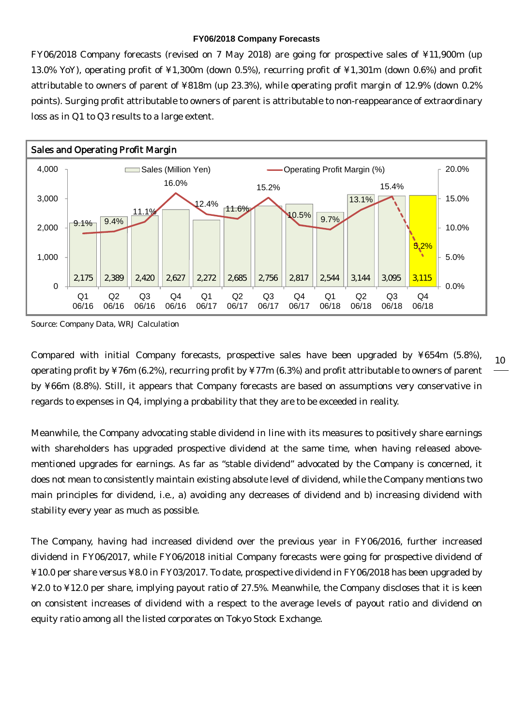#### **FY06/2018 Company Forecasts**

FY06/2018 Company forecasts (revised on 7 May 2018) are going for prospective sales of ¥11,900m (up 13.0% YoY), operating profit of ¥1,300m (down 0.5%), recurring profit of ¥1,301m (down 0.6%) and profit attributable to owners of parent of ¥818m (up 23.3%), while operating profit margin of 12.9% (down 0.2% points). Surging profit attributable to owners of parent is attributable to non-reappearance of extraordinary loss as in Q1 to Q3 results to a large extent.



Source: Company Data, WRJ Calculation

Compared with initial Company forecasts, prospective sales have been upgraded by ¥654m (5.8%), operating profit by ¥76m (6.2%), recurring profit by ¥77m (6.3%) and profit attributable to owners of parent by ¥66m (8.8%). Still, it appears that Company forecasts are based on assumptions very conservative in regards to expenses in Q4, implying a probability that they are to be exceeded in reality.

Meanwhile, the Company advocating stable dividend in line with its measures to positively share earnings with shareholders has upgraded prospective dividend at the same time, when having released abovementioned upgrades for earnings. As far as "stable dividend" advocated by the Company is concerned, it does not mean to consistently maintain existing absolute level of dividend, while the Company mentions two main principles for dividend, i.e., a) avoiding any decreases of dividend and b) increasing dividend with stability every year as much as possible.

The Company, having had increased dividend over the previous year in FY06/2016, further increased dividend in FY06/2017, while FY06/2018 initial Company forecasts were going for prospective dividend of ¥10.0 per share versus ¥8.0 in FY03/2017. To date, prospective dividend in FY06/2018 has been upgraded by ¥2.0 to ¥12.0 per share, implying payout ratio of 27.5%. Meanwhile, the Company discloses that it is keen on consistent increases of dividend with a respect to the average levels of payout ratio and dividend on equity ratio among all the listed corporates on Tokyo Stock Exchange.

10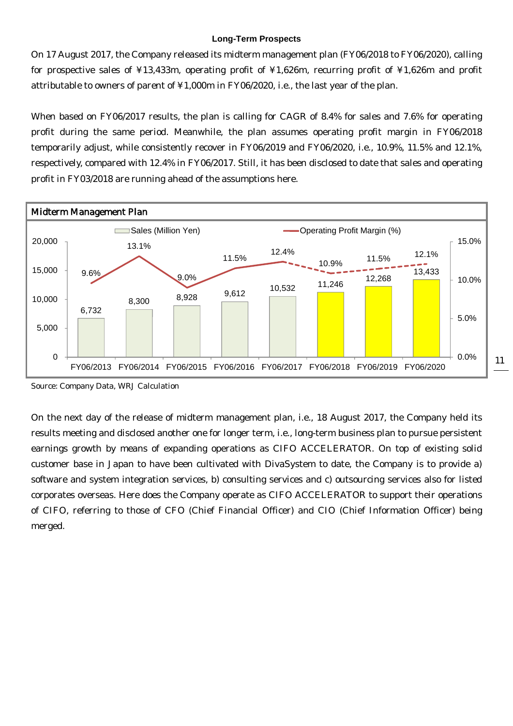#### **Long-Term Prospects**

On 17 August 2017, the Company released its midterm management plan (FY06/2018 to FY06/2020), calling for prospective sales of ¥13,433m, operating profit of ¥1,626m, recurring profit of ¥1,626m and profit attributable to owners of parent of ¥1,000m in FY06/2020, i.e., the last year of the plan.

When based on FY06/2017 results, the plan is calling for CAGR of 8.4% for sales and 7.6% for operating profit during the same period. Meanwhile, the plan assumes operating profit margin in FY06/2018 temporarily adjust, while consistently recover in FY06/2019 and FY06/2020, i.e., 10.9%, 11.5% and 12.1%, respectively, compared with 12.4% in FY06/2017. Still, it has been disclosed to date that sales and operating profit in FY03/2018 are running ahead of the assumptions here.



Source: Company Data, WRJ Calculation

On the next day of the release of midterm management plan, i.e., 18 August 2017, the Company held its results meeting and disclosed another one for longer term, i.e., long-term business plan to pursue persistent earnings growth by means of expanding operations as CIFO ACCELERATOR. On top of existing solid customer base in Japan to have been cultivated with DivaSystem to date, the Company is to provide a) software and system integration services, b) consulting services and c) outsourcing services also for listed corporates overseas. Here does the Company operate as CIFO ACCELERATOR to support their operations of CIFO, referring to those of CFO (Chief Financial Officer) and CIO (Chief Information Officer) being merged.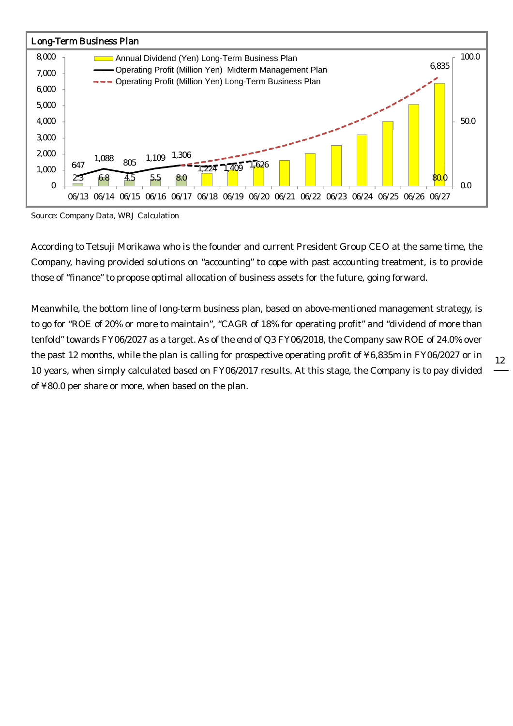

Source: Company Data, WRJ Calculation

According to Tetsuji Morikawa who is the founder and current President Group CEO at the same time, the Company, having provided solutions on "accounting" to cope with past accounting treatment, is to provide those of "finance" to propose optimal allocation of business assets for the future, going forward.

Meanwhile, the bottom line of long-term business plan, based on above-mentioned management strategy, is to go for "ROE of 20% or more to maintain", "CAGR of 18% for operating profit" and "dividend of more than tenfold" towards FY06/2027 as a target. As of the end of Q3 FY06/2018, the Company saw ROE of 24.0% over the past 12 months, while the plan is calling for prospective operating profit of ¥6,835m in FY06/2027 or in 10 years, when simply calculated based on FY06/2017 results. At this stage, the Company is to pay divided of ¥80.0 per share or more, when based on the plan.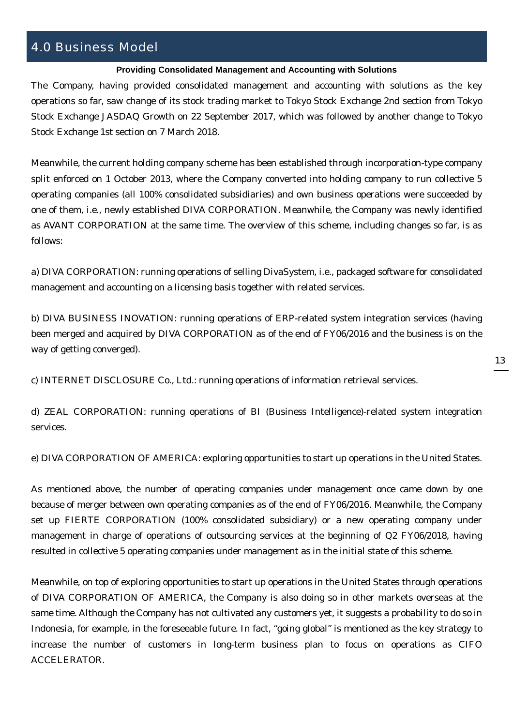# 4.0 Business Model

### **Providing Consolidated Management and Accounting with Solutions**

The Company, having provided consolidated management and accounting with solutions as the key operations so far, saw change of its stock trading market to Tokyo Stock Exchange 2nd section from Tokyo Stock Exchange JASDAQ Growth on 22 September 2017, which was followed by another change to Tokyo Stock Exchange 1st section on 7 March 2018.

Meanwhile, the current holding company scheme has been established through incorporation-type company split enforced on 1 October 2013, where the Company converted into holding company to run collective 5 operating companies (all 100% consolidated subsidiaries) and own business operations were succeeded by one of them, i.e., newly established DIVA CORPORATION. Meanwhile, the Company was newly identified as AVANT CORPORATION at the same time. The overview of this scheme, including changes so far, is as follows:

a) DIVA CORPORATION: running operations of selling DivaSystem, i.e., packaged software for consolidated management and accounting on a licensing basis together with related services.

b) DIVA BUSINESS INOVATION: running operations of ERP-related system integration services (having been merged and acquired by DIVA CORPORATION as of the end of FY06/2016 and the business is on the way of getting converged).

c) INTERNET DISCLOSURE Co., Ltd.: running operations of information retrieval services.

d) ZEAL CORPORATION: running operations of BI (Business Intelligence)-related system integration services.

e) DIVA CORPORATION OF AMERICA: exploring opportunities to start up operations in the United States.

As mentioned above, the number of operating companies under management once came down by one because of merger between own operating companies as of the end of FY06/2016. Meanwhile, the Company set up FIERTE CORPORATION (100% consolidated subsidiary) or a new operating company under management in charge of operations of outsourcing services at the beginning of Q2 FY06/2018, having resulted in collective 5 operating companies under management as in the initial state of this scheme.

Meanwhile, on top of exploring opportunities to start up operations in the United States through operations of DIVA CORPORATION OF AMERICA, the Company is also doing so in other markets overseas at the same time. Although the Company has not cultivated any customers yet, it suggests a probability to do so in Indonesia, for example, in the foreseeable future. In fact, "going global" is mentioned as the key strategy to increase the number of customers in long-term business plan to focus on operations as CIFO ACCELERATOR.